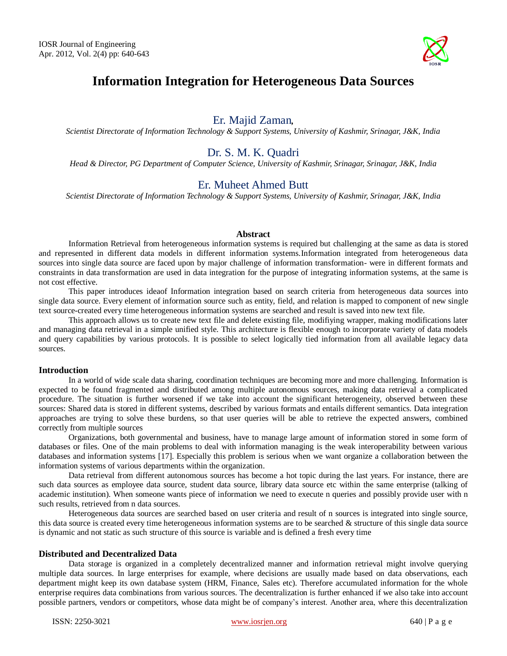

# **Information Integration for Heterogeneous Data Sources**

# Er. Majid Zaman*,*

*Scientist Directorate of Information Technology & Support Systems, University of Kashmir, Srinagar, J&K, India*

# Dr. S. M. K. Quadri

*Head & Director, PG Department of Computer Science, University of Kashmir, Srinagar, Srinagar, J&K, India*

# Er. Muheet Ahmed Butt

*Scientist Directorate of Information Technology & Support Systems, University of Kashmir, Srinagar, J&K, India* 

### **Abstract**

Information Retrieval from heterogeneous information systems is required but challenging at the same as data is stored and represented in different data models in different information systems.Information integrated from heterogeneous data sources into single data source are faced upon by major challenge of information transformation- were in different formats and constraints in data transformation are used in data integration for the purpose of integrating information systems, at the same is not cost effective.

This paper introduces ideaof Information integration based on search criteria from heterogeneous data sources into single data source. Every element of information source such as entity, field, and relation is mapped to component of new single text source-created every time heterogeneous information systems are searched and result is saved into new text file.

This approach allows us to create new text file and delete existing file, modifiying wrapper, making modifications later and managing data retrieval in a simple unified style. This architecture is flexible enough to incorporate variety of data models and query capabilities by various protocols. It is possible to select logically tied information from all available legacy data sources.

#### **Introduction**

In a world of wide scale data sharing, coordination techniques are becoming more and more challenging. Information is expected to be found fragmented and distributed among multiple autonomous sources, making data retrieval a complicated procedure. The situation is further worsened if we take into account the significant heterogeneity, observed between these sources: Shared data is stored in different systems, described by various formats and entails different semantics. Data integration approaches are trying to solve these burdens, so that user queries will be able to retrieve the expected answers, combined correctly from multiple sources

Organizations, both governmental and business, have to manage large amount of information stored in some form of databases or files. One of the main problems to deal with information managing is the weak interoperability between various databases and information systems [17]. Especially this problem is serious when we want organize a collaboration between the information systems of various departments within the organization.

Data retrieval from different autonomous sources has become a hot topic during the last years. For instance, there are such data sources as employee data source, student data source, library data source etc within the same enterprise (talking of academic institution). When someone wants piece of information we need to execute n queries and possibly provide user with n such results, retrieved from n data sources.

Heterogeneous data sources are searched based on user criteria and result of n sources is integrated into single source, this data source is created every time heterogeneous information systems are to be searched & structure of this single data source is dynamic and not static as such structure of this source is variable and is defined a fresh every time

## **Distributed and Decentralized Data**

Data storage is organized in a completely decentralized manner and information retrieval might involve querying multiple data sources. In large enterprises for example, where decisions are usually made based on data observations, each department might keep its own database system (HRM, Finance, Sales etc). Therefore accumulated information for the whole enterprise requires data combinations from various sources. The decentralization is further enhanced if we also take into account possible partners, vendors or competitors, whose data might be of company's interest. Another area, where this decentralization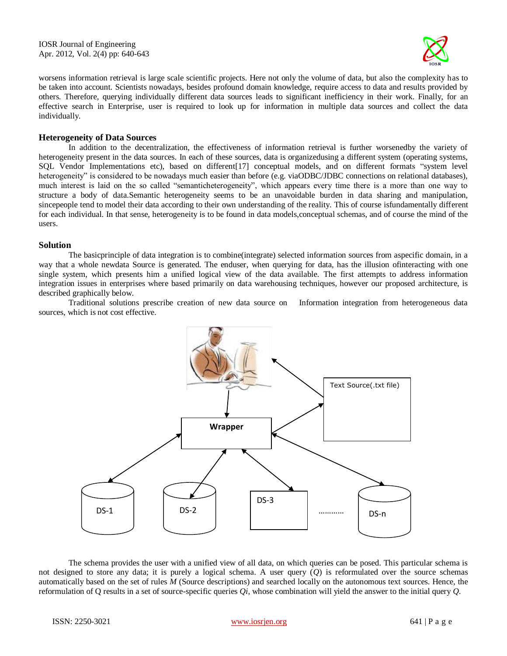IOSR Journal of Engineering Apr. 2012, Vol. 2(4) pp: 640-643



worsens information retrieval is large scale scientific projects. Here not only the volume of data, but also the complexity has to be taken into account. Scientists nowadays, besides profound domain knowledge, require access to data and results provided by others. Therefore, querying individually different data sources leads to significant inefficiency in their work. Finally, for an effective search in Enterprise, user is required to look up for information in multiple data sources and collect the data individually.

#### **Heterogeneity of Data Sources**

In addition to the decentralization, the effectiveness of information retrieval is further worsenedby the variety of heterogeneity present in the data sources. In each of these sources, data is organizedusing a different system (operating systems, SQL Vendor Implementations etc), based on different[17] conceptual models, and on different formats "system level heterogeneity" is considered to be nowadays much easier than before (e.g. viaODBC/JDBC connections on relational databases), much interest is laid on the so called "semanticheterogeneity", which appears every time there is a more than one way to structure a body of data.Semantic heterogeneity seems to be an unavoidable burden in data sharing and manipulation, sincepeople tend to model their data according to their own understanding of the reality. This of course isfundamentally different for each individual. In that sense, heterogeneity is to be found in data models,conceptual schemas, and of course the mind of the users.

#### **Solution**

The basicprinciple of data integration is to combine(integrate) selected information sources from aspecific domain, in a way that a whole newdata Source is generated. The enduser, when querying for data, has the illusion ofinteracting with one single system, which presents him a unified logical view of the data available. The first attempts to address information integration issues in enterprises where based primarily on data warehousing techniques, however our proposed architecture, is described graphically below.

Traditional solutions prescribe creation of new data source on Information integration from heterogeneous data sources, which is not cost effective.



The schema provides the user with a unified view of all data, on which queries can be posed. This particular schema is not designed to store any data; it is purely a logical schema. A user query (*Q*) is reformulated over the source schemas automatically based on the set of rules *M* (Source descriptions) and searched locally on the autonomous text sources. Hence, the reformulation of Q results in a set of source-specific queries *Qi*, whose combination will yield the answer to the initial query *Q*.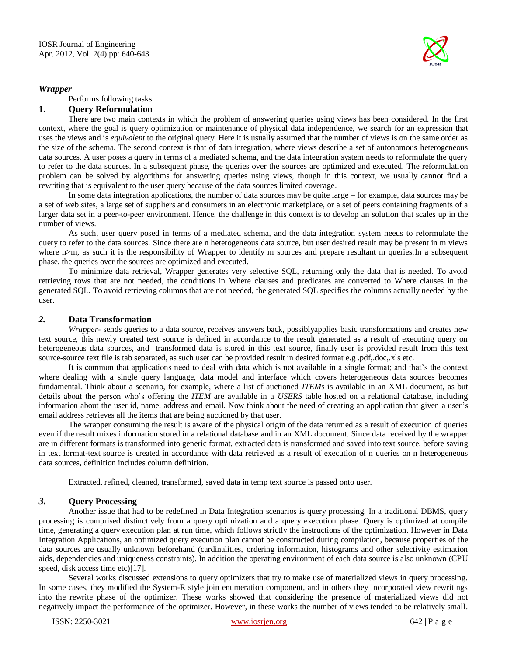

## *Wrapper*

Performs following tasks

## **1. Query Reformulation**

There are two main contexts in which the problem of answering queries using views has been considered. In the first context, where the goal is query optimization or maintenance of physical data independence, we search for an expression that uses the views and is *equivalent* to the original query. Here it is usually assumed that the number of views is on the same order as the size of the schema. The second context is that of data integration, where views describe a set of autonomous heterogeneous data sources. A user poses a query in terms of a mediated schema, and the data integration system needs to reformulate the query to refer to the data sources. In a subsequent phase, the queries over the sources are optimized and executed. The reformulation problem can be solved by algorithms for answering queries using views, though in this context, we usually cannot find a rewriting that is equivalent to the user query because of the data sources limited coverage.

In some data integration applications, the number of data sources may be quite large – for example, data sources may be a set of web sites, a large set of suppliers and consumers in an electronic marketplace, or a set of peers containing fragments of a larger data set in a peer-to-peer environment. Hence, the challenge in this context is to develop an solution that scales up in the number of views.

As such, user query posed in terms of a mediated schema, and the data integration system needs to reformulate the query to refer to the data sources. Since there are n heterogeneous data source, but user desired result may be present in m views where n>m, as such it is the responsibility of Wrapper to identify m sources and prepare resultant m queries. In a subsequent phase, the queries over the sources are optimized and executed.

To minimize data retrieval, Wrapper generates very selective SQL, returning only the data that is needed. To avoid retrieving rows that are not needed, the conditions in Where clauses and predicates are converted to Where clauses in the generated SQL. To avoid retrieving columns that are not needed, the generated SQL specifies the columns actually needed by the user.

#### *2.* **Data Transformation**

*Wrapper*- sends queries to a data source, receives answers back, possiblyapplies basic transformations and creates new text source, this newly created text source is defined in accordance to the result generated as a result of executing query on heterogeneous data sources, and transformed data is stored in this text source, finally user is provided result from this text source-source text file is tab separated, as such user can be provided result in desired format e.g .pdf,.doc,.xls etc.

It is common that applications need to deal with data which is not available in a single format; and that's the context where dealing with a single query language, data model and interface which covers heterogeneous data sources becomes fundamental. Think about a scenario, for example, where a list of auctioned *ITEM*s is available in an XML document, as but details about the person who's offering the *ITEM* are available in a *USERS* table hosted on a relational database, including information about the user id, name, address and email. Now think about the need of creating an application that given a user's email address retrieves all the items that are being auctioned by that user.

The wrapper consuming the result is aware of the physical origin of the data returned as a result of execution of queries even if the result mixes information stored in a relational database and in an XML document. Since data received by the wrapper are in different formats is transformed into generic format, extracted data is transformed and saved into text source, before saving in text format-text source is created in accordance with data retrieved as a result of execution of n queries on n heterogeneous data sources, definition includes column definition.

Extracted, refined, cleaned, transformed, saved data in temp text source is passed onto user.

# *3.* **Query Processing**

Another issue that had to be redefined in Data Integration scenarios is query processing. In a traditional DBMS, query processing is comprised distinctively from a query optimization and a query execution phase. Query is optimized at compile time, generating a query execution plan at run time, which follows strictly the instructions of the optimization. However in Data Integration Applications, an optimized query execution plan cannot be constructed during compilation, because properties of the data sources are usually unknown beforehand (cardinalities, ordering information, histograms and other selectivity estimation aids, dependencies and uniqueness constraints). In addition the operating environment of each data source is also unknown (CPU speed, disk access time etc)[17].

Several works discussed extensions to query optimizers that try to make use of materialized views in query processing. In some cases, they modified the System-R style join enumeration component, and in others they incorporated view rewritings into the rewrite phase of the optimizer. These works showed that considering the presence of materialized views did not negatively impact the performance of the optimizer. However, in these works the number of views tended to be relatively small.